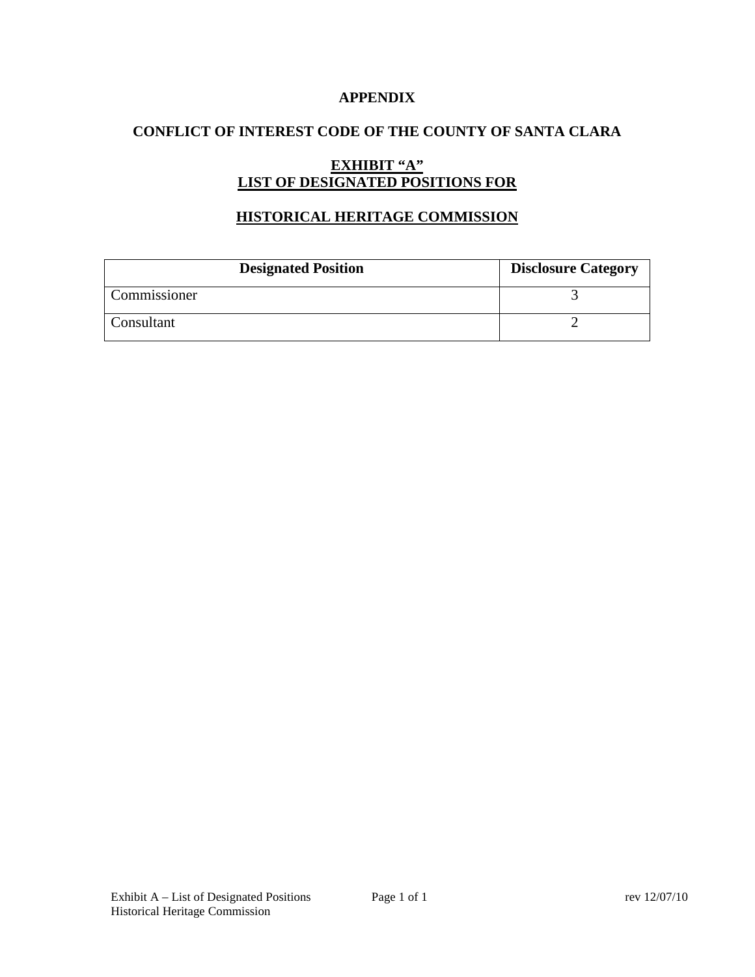### **APPENDIX**

### **CONFLICT OF INTEREST CODE OF THE COUNTY OF SANTA CLARA**

# **EXHIBIT "A" LIST OF DESIGNATED POSITIONS FOR**

# **HISTORICAL HERITAGE COMMISSION**

| <b>Designated Position</b> | <b>Disclosure Category</b> |
|----------------------------|----------------------------|
| Commissioner               |                            |
| Consultant                 |                            |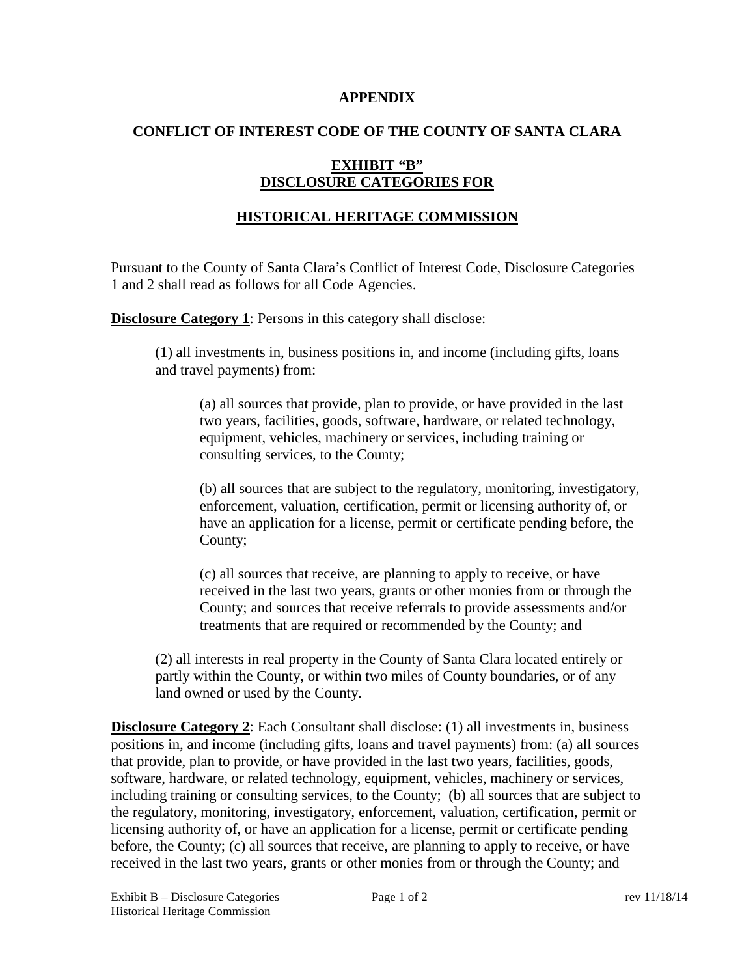#### **APPENDIX**

### **CONFLICT OF INTEREST CODE OF THE COUNTY OF SANTA CLARA**

# **EXHIBIT "B" DISCLOSURE CATEGORIES FOR**

# **HISTORICAL HERITAGE COMMISSION**

Pursuant to the County of Santa Clara's Conflict of Interest Code, Disclosure Categories 1 and 2 shall read as follows for all Code Agencies.

**Disclosure Category 1:** Persons in this category shall disclose:

(1) all investments in, business positions in, and income (including gifts, loans and travel payments) from:

(a) all sources that provide, plan to provide, or have provided in the last two years, facilities, goods, software, hardware, or related technology, equipment, vehicles, machinery or services, including training or consulting services, to the County;

(b) all sources that are subject to the regulatory, monitoring, investigatory, enforcement, valuation, certification, permit or licensing authority of, or have an application for a license, permit or certificate pending before, the County;

(c) all sources that receive, are planning to apply to receive, or have received in the last two years, grants or other monies from or through the County; and sources that receive referrals to provide assessments and/or treatments that are required or recommended by the County; and

(2) all interests in real property in the County of Santa Clara located entirely or partly within the County, or within two miles of County boundaries, or of any land owned or used by the County.

**Disclosure Category 2:** Each Consultant shall disclose: (1) all investments in, business positions in, and income (including gifts, loans and travel payments) from: (a) all sources that provide, plan to provide, or have provided in the last two years, facilities, goods, software, hardware, or related technology, equipment, vehicles, machinery or services, including training or consulting services, to the County; (b) all sources that are subject to the regulatory, monitoring, investigatory, enforcement, valuation, certification, permit or licensing authority of, or have an application for a license, permit or certificate pending before, the County; (c) all sources that receive, are planning to apply to receive, or have received in the last two years, grants or other monies from or through the County; and